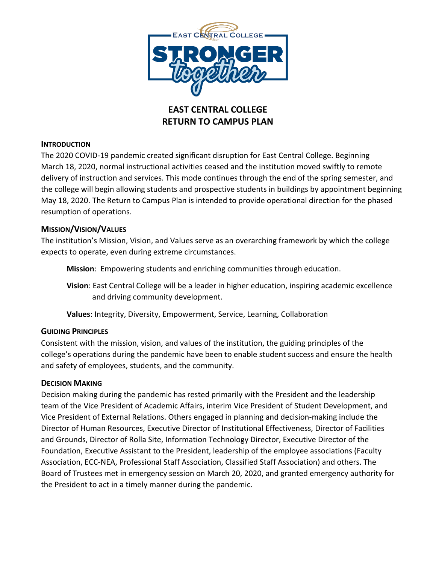

# **EAST CENTRAL COLLEGE RETURN TO CAMPUS PLAN**

# **INTRODUCTION**

The 2020 COVID-19 pandemic created significant disruption for East Central College. Beginning March 18, 2020, normal instructional activities ceased and the institution moved swiftly to remote delivery of instruction and services. This mode continues through the end of the spring semester, and the college will begin allowing students and prospective students in buildings by appointment beginning May 18, 2020. The Return to Campus Plan is intended to provide operational direction for the phased resumption of operations.

### **MISSION/VISION/VALUES**

The institution's Mission, Vision, and Values serve as an overarching framework by which the college expects to operate, even during extreme circumstances.

**Mission**: Empowering students and enriching communities through education.

**Vision**: East Central College will be a leader in higher education, inspiring academic excellence and driving community development.

**Values**: Integrity, Diversity, Empowerment, Service, Learning, Collaboration

# **GUIDING PRINCIPLES**

Consistent with the mission, vision, and values of the institution, the guiding principles of the college's operations during the pandemic have been to enable student success and ensure the health and safety of employees, students, and the community.

### **DECISION MAKING**

Decision making during the pandemic has rested primarily with the President and the leadership team of the Vice President of Academic Affairs, interim Vice President of Student Development, and Vice President of External Relations. Others engaged in planning and decision-making include the Director of Human Resources, Executive Director of Institutional Effectiveness, Director of Facilities and Grounds, Director of Rolla Site, Information Technology Director, Executive Director of the Foundation, Executive Assistant to the President, leadership of the employee associations (Faculty Association, ECC-NEA, Professional Staff Association, Classified Staff Association) and others. The Board of Trustees met in emergency session on March 20, 2020, and granted emergency authority for the President to act in a timely manner during the pandemic.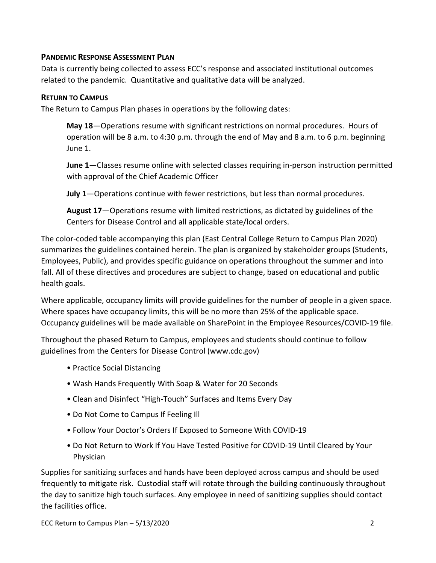# **PANDEMIC RESPONSE ASSESSMENT PLAN**

Data is currently being collected to assess ECC's response and associated institutional outcomes related to the pandemic. Quantitative and qualitative data will be analyzed.

### **RETURN TO CAMPUS**

The Return to Campus Plan phases in operations by the following dates:

**May 18**—Operations resume with significant restrictions on normal procedures. Hours of operation will be 8 a.m. to 4:30 p.m. through the end of May and 8 a.m. to 6 p.m. beginning June 1.

**June 1—**Classes resume online with selected classes requiring in-person instruction permitted with approval of the Chief Academic Officer

**July 1**—Operations continue with fewer restrictions, but less than normal procedures.

**August 17**—Operations resume with limited restrictions, as dictated by guidelines of the Centers for Disease Control and all applicable state/local orders.

The color-coded table accompanying this plan (East Central College Return to Campus Plan 2020) summarizes the guidelines contained herein. The plan is organized by stakeholder groups (Students, Employees, Public), and provides specific guidance on operations throughout the summer and into fall. All of these directives and procedures are subject to change, based on educational and public health goals.

Where applicable, occupancy limits will provide guidelines for the number of people in a given space. Where spaces have occupancy limits, this will be no more than 25% of the applicable space. Occupancy guidelines will be made available on SharePoint in the Employee Resources/COVID-19 file.

Throughout the phased Return to Campus, employees and students should continue to follow guidelines from the Centers for Disease Control (www.cdc.gov)

- Practice Social Distancing
- Wash Hands Frequently With Soap & Water for 20 Seconds
- Clean and Disinfect "High-Touch" Surfaces and Items Every Day
- Do Not Come to Campus If Feeling Ill
- Follow Your Doctor's Orders If Exposed to Someone With COVID-19
- Do Not Return to Work If You Have Tested Positive for COVID-19 Until Cleared by Your Physician

Supplies for sanitizing surfaces and hands have been deployed across campus and should be used frequently to mitigate risk. Custodial staff will rotate through the building continuously throughout the day to sanitize high touch surfaces. Any employee in need of sanitizing supplies should contact the facilities office.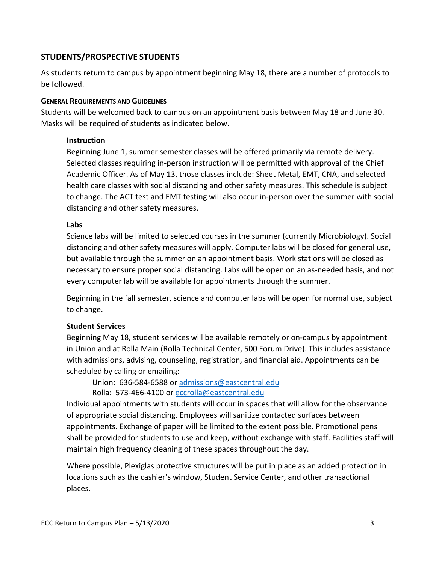# **STUDENTS/PROSPECTIVE STUDENTS**

As students return to campus by appointment beginning May 18, there are a number of protocols to be followed.

### **GENERAL REQUIREMENTS AND GUIDELINES**

Students will be welcomed back to campus on an appointment basis between May 18 and June 30. Masks will be required of students as indicated below.

### **Instruction**

Beginning June 1, summer semester classes will be offered primarily via remote delivery. Selected classes requiring in-person instruction will be permitted with approval of the Chief Academic Officer. As of May 13, those classes include: Sheet Metal, EMT, CNA, and selected health care classes with social distancing and other safety measures. This schedule is subject to change. The ACT test and EMT testing will also occur in-person over the summer with social distancing and other safety measures.

### **Labs**

Science labs will be limited to selected courses in the summer (currently Microbiology). Social distancing and other safety measures will apply. Computer labs will be closed for general use, but available through the summer on an appointment basis. Work stations will be closed as necessary to ensure proper social distancing. Labs will be open on an as-needed basis, and not every computer lab will be available for appointments through the summer.

Beginning in the fall semester, science and computer labs will be open for normal use, subject to change.

# **Student Services**

Beginning May 18, student services will be available remotely or on-campus by appointment in Union and at Rolla Main (Rolla Technical Center, 500 Forum Drive). This includes assistance with admissions, advising, counseling, registration, and financial aid. Appointments can be scheduled by calling or emailing:

Union: 636-584-6588 or [admissions@eastcentral.edu](mailto:admissions@eastcentral.edu)

Rolla: 573-466-4100 or eccrolla@eastcentral.edu

Individual appointments with students will occur in spaces that will allow for the observance of appropriate social distancing. Employees will sanitize contacted surfaces between appointments. Exchange of paper will be limited to the extent possible. Promotional pens shall be provided for students to use and keep, without exchange with staff. Facilities staff will maintain high frequency cleaning of these spaces throughout the day.

Where possible, Plexiglas protective structures will be put in place as an added protection in locations such as the cashier's window, Student Service Center, and other transactional places.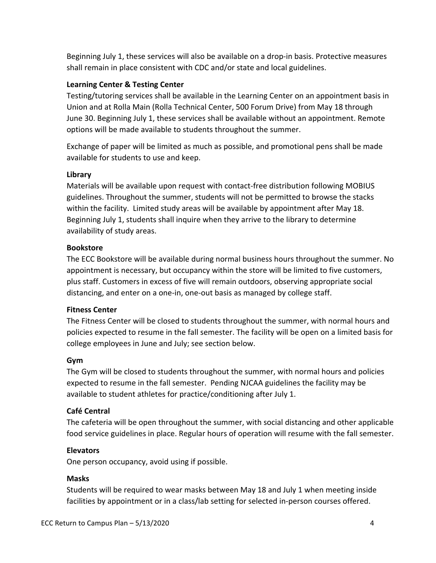Beginning July 1, these services will also be available on a drop-in basis. Protective measures shall remain in place consistent with CDC and/or state and local guidelines.

### **Learning Center & Testing Center**

Testing/tutoring services shall be available in the Learning Center on an appointment basis in Union and at Rolla Main (Rolla Technical Center, 500 Forum Drive) from May 18 through June 30. Beginning July 1, these services shall be available without an appointment. Remote options will be made available to students throughout the summer.

Exchange of paper will be limited as much as possible, and promotional pens shall be made available for students to use and keep.

### **Library**

Materials will be available upon request with contact-free distribution following MOBIUS guidelines. Throughout the summer, students will not be permitted to browse the stacks within the facility. Limited study areas will be available by appointment after May 18. Beginning July 1, students shall inquire when they arrive to the library to determine availability of study areas.

### **Bookstore**

The ECC Bookstore will be available during normal business hours throughout the summer. No appointment is necessary, but occupancy within the store will be limited to five customers, plus staff. Customers in excess of five will remain outdoors, observing appropriate social distancing, and enter on a one-in, one-out basis as managed by college staff.

### **Fitness Center**

The Fitness Center will be closed to students throughout the summer, with normal hours and policies expected to resume in the fall semester. The facility will be open on a limited basis for college employees in June and July; see section below.

### **Gym**

The Gym will be closed to students throughout the summer, with normal hours and policies expected to resume in the fall semester. Pending NJCAA guidelines the facility may be available to student athletes for practice/conditioning after July 1.

# **Café Central**

The cafeteria will be open throughout the summer, with social distancing and other applicable food service guidelines in place. Regular hours of operation will resume with the fall semester.

### **Elevators**

One person occupancy, avoid using if possible.

### **Masks**

Students will be required to wear masks between May 18 and July 1 when meeting inside facilities by appointment or in a class/lab setting for selected in-person courses offered.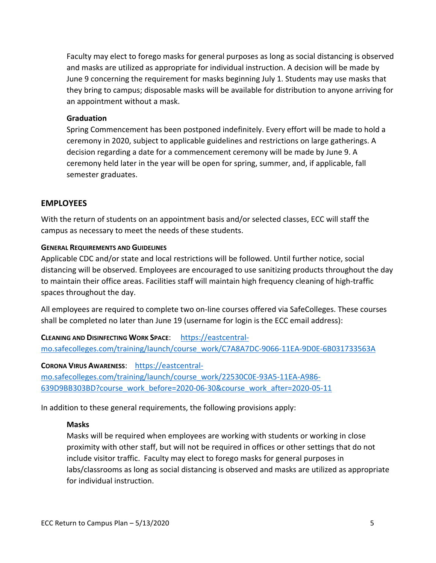Faculty may elect to forego masks for general purposes as long as social distancing is observed and masks are utilized as appropriate for individual instruction. A decision will be made by June 9 concerning the requirement for masks beginning July 1. Students may use masks that they bring to campus; disposable masks will be available for distribution to anyone arriving for an appointment without a mask.

#### **Graduation**

Spring Commencement has been postponed indefinitely. Every effort will be made to hold a ceremony in 2020, subject to applicable guidelines and restrictions on large gatherings. A decision regarding a date for a commencement ceremony will be made by June 9. A ceremony held later in the year will be open for spring, summer, and, if applicable, fall semester graduates.

### **EMPLOYEES**

With the return of students on an appointment basis and/or selected classes, ECC will staff the campus as necessary to meet the needs of these students.

#### **GENERAL REQUIREMENTS AND GUIDELINES**

Applicable CDC and/or state and local restrictions will be followed. Until further notice, social distancing will be observed. Employees are encouraged to use sanitizing products throughout the day to maintain their office areas. Facilities staff will maintain high frequency cleaning of high-traffic spaces throughout the day.

All employees are required to complete two on-line courses offered via SafeColleges. These courses shall be completed no later than June 19 (username for login is the ECC email address):

**CLEANING AND DISINFECTING WORK SPACE**: [https://eastcentral](https://eastcentral-mo.safecolleges.com/training/launch/course_work/C7A8A7DC-9066-11EA-9D0E-6B031733563A)[mo.safecolleges.com/training/launch/course\\_work/C7A8A7DC-9066-11EA-9D0E-6B031733563A](https://eastcentral-mo.safecolleges.com/training/launch/course_work/C7A8A7DC-9066-11EA-9D0E-6B031733563A)

**CORONA VIRUS AWARENESS**: [https://eastcentral](https://eastcentral-mo.safecolleges.com/training/launch/course_work/22530C0E-93A5-11EA-A986-639D9BB303BD?course_work_before=2020-06-30&course_work_after=2020-05-11)[mo.safecolleges.com/training/launch/course\\_work/22530C0E-93A5-11EA-A986-](https://eastcentral-mo.safecolleges.com/training/launch/course_work/22530C0E-93A5-11EA-A986-639D9BB303BD?course_work_before=2020-06-30&course_work_after=2020-05-11) [639D9BB303BD?course\\_work\\_before=2020-06-30&course\\_work\\_after=2020-05-11](https://eastcentral-mo.safecolleges.com/training/launch/course_work/22530C0E-93A5-11EA-A986-639D9BB303BD?course_work_before=2020-06-30&course_work_after=2020-05-11)

In addition to these general requirements, the following provisions apply:

### **Masks**

Masks will be required when employees are working with students or working in close proximity with other staff, but will not be required in offices or other settings that do not include visitor traffic. Faculty may elect to forego masks for general purposes in labs/classrooms as long as social distancing is observed and masks are utilized as appropriate for individual instruction.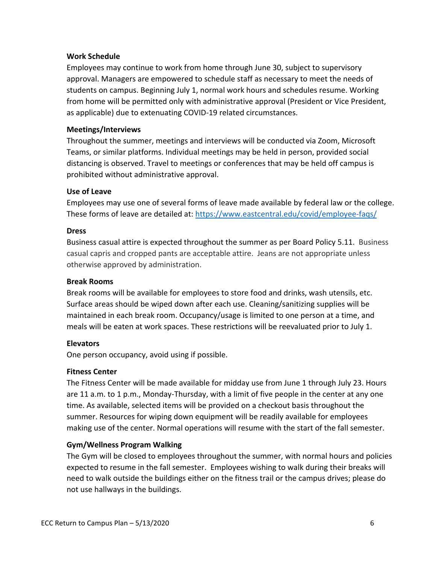### **Work Schedule**

Employees may continue to work from home through June 30, subject to supervisory approval. Managers are empowered to schedule staff as necessary to meet the needs of students on campus. Beginning July 1, normal work hours and schedules resume. Working from home will be permitted only with administrative approval (President or Vice President, as applicable) due to extenuating COVID-19 related circumstances.

### **Meetings/Interviews**

Throughout the summer, meetings and interviews will be conducted via Zoom, Microsoft Teams, or similar platforms. Individual meetings may be held in person, provided social distancing is observed. Travel to meetings or conferences that may be held off campus is prohibited without administrative approval.

### **Use of Leave**

Employees may use one of several forms of leave made available by federal law or the college. These forms of leave are detailed at:<https://www.eastcentral.edu/covid/employee-faqs/>

### **Dress**

Business casual attire is expected throughout the summer as per Board Policy 5.11. Business casual capris and cropped pants are acceptable attire. Jeans are not appropriate unless otherwise approved by administration.

### **Break Rooms**

Break rooms will be available for employees to store food and drinks, wash utensils, etc. Surface areas should be wiped down after each use. Cleaning/sanitizing supplies will be maintained in each break room. Occupancy/usage is limited to one person at a time, and meals will be eaten at work spaces. These restrictions will be reevaluated prior to July 1.

### **Elevators**

One person occupancy, avoid using if possible.

### **Fitness Center**

The Fitness Center will be made available for midday use from June 1 through July 23. Hours are 11 a.m. to 1 p.m., Monday-Thursday, with a limit of five people in the center at any one time. As available, selected items will be provided on a checkout basis throughout the summer. Resources for wiping down equipment will be readily available for employees making use of the center. Normal operations will resume with the start of the fall semester.

# **Gym/Wellness Program Walking**

The Gym will be closed to employees throughout the summer, with normal hours and policies expected to resume in the fall semester. Employees wishing to walk during their breaks will need to walk outside the buildings either on the fitness trail or the campus drives; please do not use hallways in the buildings.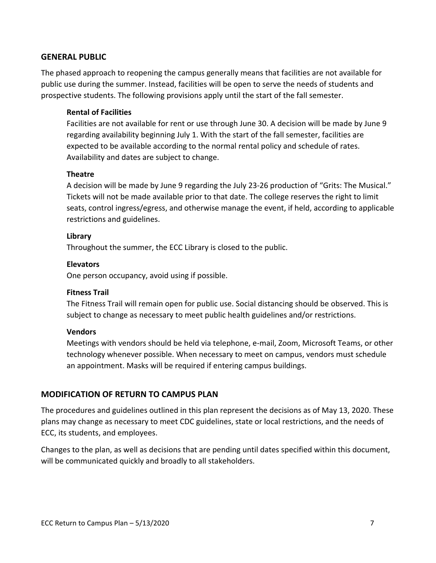### **GENERAL PUBLIC**

The phased approach to reopening the campus generally means that facilities are not available for public use during the summer. Instead, facilities will be open to serve the needs of students and prospective students. The following provisions apply until the start of the fall semester.

#### **Rental of Facilities**

Facilities are not available for rent or use through June 30. A decision will be made by June 9 regarding availability beginning July 1. With the start of the fall semester, facilities are expected to be available according to the normal rental policy and schedule of rates. Availability and dates are subject to change.

#### **Theatre**

A decision will be made by June 9 regarding the July 23-26 production of "Grits: The Musical." Tickets will not be made available prior to that date. The college reserves the right to limit seats, control ingress/egress, and otherwise manage the event, if held, according to applicable restrictions and guidelines.

#### **Library**

Throughout the summer, the ECC Library is closed to the public.

#### **Elevators**

One person occupancy, avoid using if possible.

### **Fitness Trail**

The Fitness Trail will remain open for public use. Social distancing should be observed. This is subject to change as necessary to meet public health guidelines and/or restrictions.

#### **Vendors**

Meetings with vendors should be held via telephone, e-mail, Zoom, Microsoft Teams, or other technology whenever possible. When necessary to meet on campus, vendors must schedule an appointment. Masks will be required if entering campus buildings.

### **MODIFICATION OF RETURN TO CAMPUS PLAN**

The procedures and guidelines outlined in this plan represent the decisions as of May 13, 2020. These plans may change as necessary to meet CDC guidelines, state or local restrictions, and the needs of ECC, its students, and employees.

Changes to the plan, as well as decisions that are pending until dates specified within this document, will be communicated quickly and broadly to all stakeholders.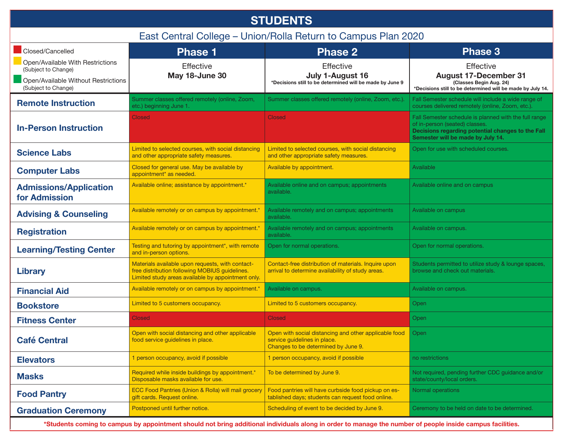| <b>STUDENTS</b>                                                                                                       |                                                                                                                                                          |                                                                                                                              |                                                                                                                                                                                   |  |  |
|-----------------------------------------------------------------------------------------------------------------------|----------------------------------------------------------------------------------------------------------------------------------------------------------|------------------------------------------------------------------------------------------------------------------------------|-----------------------------------------------------------------------------------------------------------------------------------------------------------------------------------|--|--|
| East Central College - Union/Rolla Return to Campus Plan 2020                                                         |                                                                                                                                                          |                                                                                                                              |                                                                                                                                                                                   |  |  |
| Closed/Cancelled                                                                                                      | <b>Phase 1</b>                                                                                                                                           | <b>Phase 2</b>                                                                                                               | Phase 3                                                                                                                                                                           |  |  |
| Open/Available With Restrictions<br>(Subject to Change)<br>Open/Available Without Restrictions<br>(Subject to Change) | Effective<br>May 18-June 30                                                                                                                              | <b>Effective</b><br>July 1-August 16<br>*Decisions still to be determined will be made by June 9                             | <b>Effective</b><br><b>August 17-December 31</b><br>(Classes Begin Aug. 24)<br>*Decisions still to be determined will be made by July 14.                                         |  |  |
| <b>Remote Instruction</b>                                                                                             | Summer classes offered remotely (online, Zoom,<br>etc.) beginning June 1.                                                                                | Summer classes offered remotely (online, Zoom, etc.).                                                                        | Fall Semester schedule will include a wide range of<br>courses delivered remotely (online, Zoom, etc.).                                                                           |  |  |
| <b>In-Person Instruction</b>                                                                                          | <b>Closed</b>                                                                                                                                            | <b>Closed</b>                                                                                                                | Fall Semester schedule is planned with the full range<br>of in-person (seated) classes.<br>Decisions regarding potential changes to the Fall<br>Semester will be made by July 14. |  |  |
| <b>Science Labs</b>                                                                                                   | Limited to selected courses, with social distancing<br>and other appropriate safety measures.                                                            | Limited to selected courses, with social distancing<br>and other appropriate safety measures.                                | Open for use with scheduled courses.                                                                                                                                              |  |  |
| <b>Computer Labs</b>                                                                                                  | Closed for general use. May be available by<br>appointment <sup>*</sup> as needed.                                                                       | Available by appointment.                                                                                                    | Available                                                                                                                                                                         |  |  |
| <b>Admissions/Application</b><br>for Admission                                                                        | Available online; assistance by appointment.*                                                                                                            | Available online and on campus; appointments<br>available.                                                                   | Available online and on campus                                                                                                                                                    |  |  |
| <b>Advising &amp; Counseling</b>                                                                                      | Available remotely or on campus by appointment.*                                                                                                         | Available remotely and on campus; appointments<br>available.                                                                 | Available on campus                                                                                                                                                               |  |  |
| <b>Registration</b>                                                                                                   | Available remotely or on campus by appointment.*                                                                                                         | Available remotely and on campus; appointments<br>available.                                                                 | Available on campus.                                                                                                                                                              |  |  |
| <b>Learning/Testing Center</b>                                                                                        | Testing and tutoring by appointment*, with remote<br>and in-person options.                                                                              | Open for normal operations.                                                                                                  | Open for normal operations.                                                                                                                                                       |  |  |
| <b>Library</b>                                                                                                        | Materials available upon requests, with contact-<br>free distribution following MOBIUS guidelines.<br>Limited study areas available by appointment only. | Contact-free distribution of materials. Inquire upon<br>arrival to determine availability of study areas.                    | Students permitted to utilize study & lounge spaces,<br>browse and check out materials.                                                                                           |  |  |
| <b>Financial Aid</b>                                                                                                  | Available remotely or on campus by appointment.*                                                                                                         | Available on campus.                                                                                                         | Available on campus.                                                                                                                                                              |  |  |
| <b>Bookstore</b>                                                                                                      | Limited to 5 customers occupancy.                                                                                                                        | Limited to 5 customers occupancy.                                                                                            | Open                                                                                                                                                                              |  |  |
| <b>Fitness Center</b>                                                                                                 | <b>Closed</b>                                                                                                                                            | <b>Closed</b>                                                                                                                | Open                                                                                                                                                                              |  |  |
| <b>Café Central</b>                                                                                                   | Open with social distancing and other applicable<br>food service guidelines in place.                                                                    | Open with social distancing and other applicable food<br>service quidelines in place.<br>Changes to be determined by June 9. | Open                                                                                                                                                                              |  |  |
| <b>Elevators</b>                                                                                                      | 1 person occupancy, avoid if possible                                                                                                                    | 1 person occupancy, avoid if possible                                                                                        | no restrictions                                                                                                                                                                   |  |  |
| <b>Masks</b>                                                                                                          | Required while inside buildings by appointment.*<br>Disposable masks available for use.                                                                  | To be determined by June 9.                                                                                                  | Not required, pending further CDC guidance and/or<br>state/county/local orders.                                                                                                   |  |  |
| <b>Food Pantry</b>                                                                                                    | ECC Food Pantries (Union & Rolla) will mail grocery<br>gift cards. Request online.                                                                       | Food pantries will have curbside food pickup on es-<br>tablished days; students can request food online.                     | Normal operations                                                                                                                                                                 |  |  |
| <b>Graduation Ceremony</b>                                                                                            | Postponed until further notice.                                                                                                                          | Scheduling of event to be decided by June 9.                                                                                 | Ceremony to be held on date to be determined.                                                                                                                                     |  |  |

**\*Students coming to campus by appointment should not bring additional individuals along in order to manage the number of people inside campus facilities.**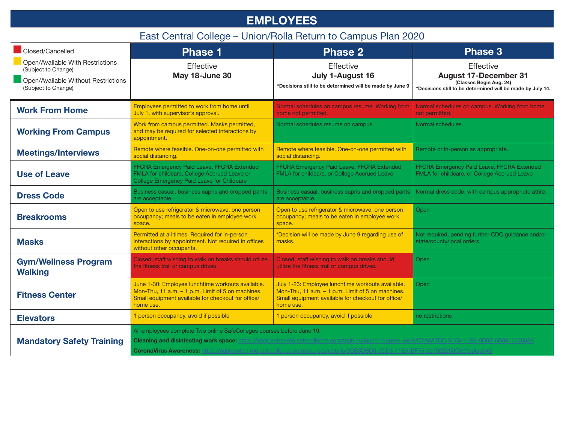| <b>EMPLOYEES</b>                                                                                                      |                                                                                                                                                                           |                                                                                                                                                                           |                                                                                                                                    |  |  |
|-----------------------------------------------------------------------------------------------------------------------|---------------------------------------------------------------------------------------------------------------------------------------------------------------------------|---------------------------------------------------------------------------------------------------------------------------------------------------------------------------|------------------------------------------------------------------------------------------------------------------------------------|--|--|
| East Central College - Union/Rolla Return to Campus Plan 2020                                                         |                                                                                                                                                                           |                                                                                                                                                                           |                                                                                                                                    |  |  |
| Closed/Cancelled                                                                                                      | <b>Phase 1</b>                                                                                                                                                            | <b>Phase 2</b>                                                                                                                                                            | <b>Phase 3</b>                                                                                                                     |  |  |
| Open/Available With Restrictions<br>(Subject to Change)<br>Open/Available Without Restrictions<br>(Subject to Change) | Effective<br>May 18-June 30                                                                                                                                               | Effective<br>July 1-August 16<br>*Decisions still to be determined will be made by June 9                                                                                 | Effective<br><b>August 17-December 31</b><br>(Classes Begin Aug. 24)<br>*Decisions still to be determined will be made by July 14. |  |  |
| <b>Work From Home</b>                                                                                                 | Employees permitted to work from home until<br>July 1, with supervisor's approval.                                                                                        | Normal schedules on campus resume. Working from<br>home not permitted.                                                                                                    | Normal schedules on campus. Working from home<br>not permitted.                                                                    |  |  |
| <b>Working From Campus</b>                                                                                            | Work from campus permitted. Masks permitted,<br>and may be required for selected interactions by<br>appointment.                                                          | Normal schedules resume on campus.                                                                                                                                        | Normal schedules.                                                                                                                  |  |  |
| <b>Meetings/Interviews</b>                                                                                            | Remote where feasible. One-on-one permitted with<br>social distancing.                                                                                                    | Remote where feasible. One-on-one permitted with<br>social distancing.                                                                                                    | Remote or in-person as appropriate.                                                                                                |  |  |
| <b>Use of Leave</b>                                                                                                   | FFCRA Emergency Paid Leave, FFCRA Extended<br>FMLA for childcare, College Accrued Leave or<br>College Emergency Paid Leave for Childcare                                  | FFCRA Emergency Paid Leave, FFCRA Extended<br>FMLA for childcare, or College Accrued Leave                                                                                | FFCRA Emergency Paid Leave, FFCRA Extended<br>FMLA for childcare, or College Accrued Leave                                         |  |  |
| <b>Dress Code</b>                                                                                                     | Business casual, business capris and cropped pants<br>are acceptable.                                                                                                     | Business casual, business capris and cropped pants<br>are acceptable.                                                                                                     | Normal dress code, with campus appropriate attire.                                                                                 |  |  |
| <b>Breakrooms</b>                                                                                                     | Open to use refrigerator & microwave; one person<br>occupancy; meals to be eaten in employee work<br>space.                                                               | Open to use refrigerator & microwave; one person<br>occupancy; meals to be eaten in employee work<br>space.                                                               | Open                                                                                                                               |  |  |
| <b>Masks</b>                                                                                                          | Permitted at all times. Required for in-person<br>interactions by appointment. Not required in offices<br>without other occupants.                                        | *Decision will be made by June 9 regarding use of<br>masks.                                                                                                               | Not required, pending further CDC guidance and/or<br>state/county/local orders.                                                    |  |  |
| <b>Gym/Wellness Program</b><br><b>Walking</b>                                                                         | Closed; staff wishing to walk on breaks should utilize<br>the fitness trail or campus drives.                                                                             | Closed; staff wishing to walk on breaks should<br>utilize the fitness trail or campus drives.                                                                             | Open                                                                                                                               |  |  |
| <b>Fitness Center</b>                                                                                                 | June 1-30: Employee lunchtime workouts available.<br>Mon-Thu, 11 a.m. - 1 p.m. Limit of 5 on machines.<br>Small equipment available for checkout for office/<br>home use. | July 1-23: Employee lunchtime workouts available.<br>Mon-Thu, 11 a.m. - 1 p.m. Limit of 5 on machines.<br>Small equipment available for checkout for office/<br>home use. | Open                                                                                                                               |  |  |
| <b>Elevators</b>                                                                                                      | 1 person occupancy, avoid if possible                                                                                                                                     | 1 person occupancy, avoid if possible                                                                                                                                     | no restrictions                                                                                                                    |  |  |
| <b>Mandatory Safety Training</b>                                                                                      | All employees complete Two online SafeColleges courses before June 19.<br><b>Cleaning and disinfecting work space:</b> https://east<br><b>CoronaVirus Awareness:</b>      |                                                                                                                                                                           |                                                                                                                                    |  |  |